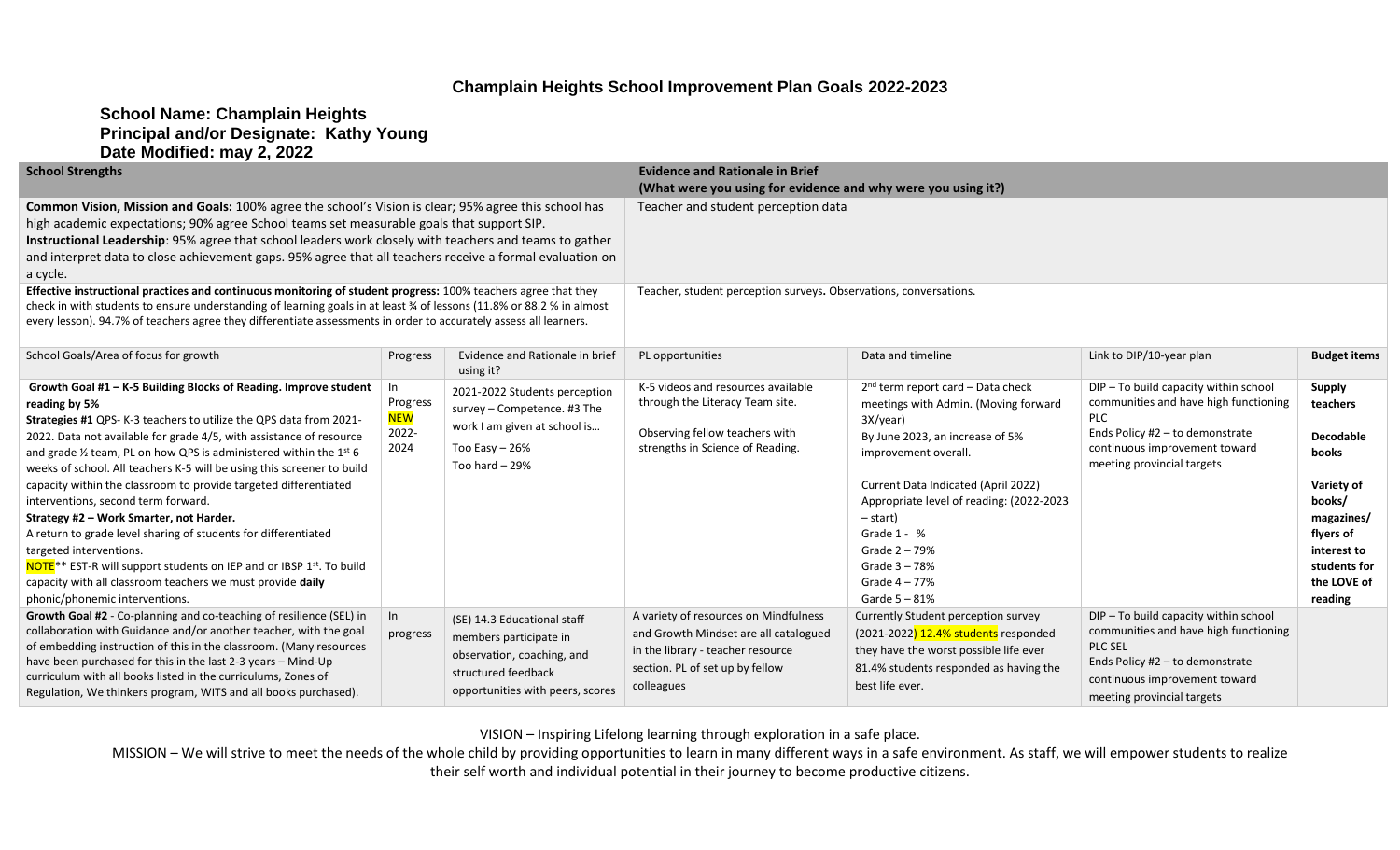## **Champlain Heights School Improvement Plan Goals 2022-2023**

## **School Name: Champlain Heights Principal and/or Designate: Kathy Young Date Modified: may 2, 2022**

| <b>School Strengths</b>                                                                                                                                                                                                                                                                                                                                                                                                                                                                                                                                                                                                                                                                                                                                                                                                                                  |                                                     | <b>Evidence and Rationale in Brief</b>                                                                                                         |                                                                                                                                                                      |                                                                                                                                                                                                                                                                                                                                                            |                                                                                                                                                                                                |                                                                                                                                                      |  |
|----------------------------------------------------------------------------------------------------------------------------------------------------------------------------------------------------------------------------------------------------------------------------------------------------------------------------------------------------------------------------------------------------------------------------------------------------------------------------------------------------------------------------------------------------------------------------------------------------------------------------------------------------------------------------------------------------------------------------------------------------------------------------------------------------------------------------------------------------------|-----------------------------------------------------|------------------------------------------------------------------------------------------------------------------------------------------------|----------------------------------------------------------------------------------------------------------------------------------------------------------------------|------------------------------------------------------------------------------------------------------------------------------------------------------------------------------------------------------------------------------------------------------------------------------------------------------------------------------------------------------------|------------------------------------------------------------------------------------------------------------------------------------------------------------------------------------------------|------------------------------------------------------------------------------------------------------------------------------------------------------|--|
|                                                                                                                                                                                                                                                                                                                                                                                                                                                                                                                                                                                                                                                                                                                                                                                                                                                          |                                                     |                                                                                                                                                | (What were you using for evidence and why were you using it?)                                                                                                        |                                                                                                                                                                                                                                                                                                                                                            |                                                                                                                                                                                                |                                                                                                                                                      |  |
| Common Vision, Mission and Goals: 100% agree the school's Vision is clear; 95% agree this school has<br>high academic expectations; 90% agree School teams set measurable goals that support SIP.<br>Instructional Leadership: 95% agree that school leaders work closely with teachers and teams to gather<br>and interpret data to close achievement gaps. 95% agree that all teachers receive a formal evaluation on<br>a cycle.                                                                                                                                                                                                                                                                                                                                                                                                                      |                                                     |                                                                                                                                                | Teacher and student perception data                                                                                                                                  |                                                                                                                                                                                                                                                                                                                                                            |                                                                                                                                                                                                |                                                                                                                                                      |  |
| Effective instructional practices and continuous monitoring of student progress: 100% teachers agree that they<br>check in with students to ensure understanding of learning goals in at least % of lessons (11.8% or 88.2 % in almost<br>every lesson). 94.7% of teachers agree they differentiate assessments in order to accurately assess all learners.                                                                                                                                                                                                                                                                                                                                                                                                                                                                                              |                                                     |                                                                                                                                                | Teacher, student perception surveys. Observations, conversations.                                                                                                    |                                                                                                                                                                                                                                                                                                                                                            |                                                                                                                                                                                                |                                                                                                                                                      |  |
| School Goals/Area of focus for growth                                                                                                                                                                                                                                                                                                                                                                                                                                                                                                                                                                                                                                                                                                                                                                                                                    | Progress                                            | Evidence and Rationale in brief<br>using it?                                                                                                   | PL opportunities                                                                                                                                                     | Data and timeline                                                                                                                                                                                                                                                                                                                                          | Link to DIP/10-year plan                                                                                                                                                                       | <b>Budget items</b>                                                                                                                                  |  |
| Growth Goal #1 - K-5 Building Blocks of Reading. Improve student<br>reading by 5%<br>Strategies #1 QPS- K-3 teachers to utilize the QPS data from 2021-<br>2022. Data not available for grade 4/5, with assistance of resource<br>and grade $\frac{1}{2}$ team, PL on how QPS is administered within the 1 <sup>st</sup> 6<br>weeks of school. All teachers K-5 will be using this screener to build<br>capacity within the classroom to provide targeted differentiated<br>interventions, second term forward.<br>Strategy #2 - Work Smarter, not Harder.<br>A return to grade level sharing of students for differentiated<br>targeted interventions.<br>NOTE <sup>*</sup> * EST-R will support students on IEP and or IBSP 1 <sup>st</sup> . To build<br>capacity with all classroom teachers we must provide daily<br>phonic/phonemic interventions. | In<br>Progress<br><mark>NEW</mark><br>2022-<br>2024 | 2021-2022 Students perception<br>survey - Competence. #3 The<br>work I am given at school is<br>Too Easy $-26%$<br>Too hard $-29%$             | K-5 videos and resources available<br>through the Literacy Team site.<br>Observing fellow teachers with<br>strengths in Science of Reading.                          | 2 <sup>nd</sup> term report card - Data check<br>meetings with Admin. (Moving forward<br>3X/year)<br>By June 2023, an increase of 5%<br>improvement overall.<br>Current Data Indicated (April 2022)<br>Appropriate level of reading: (2022-2023<br>$-$ start)<br>Grade $1 - %$<br>Grade $2 - 79%$<br>Grade $3 - 78%$<br>Grade $4 - 77%$<br>Garde $5 - 81%$ | DIP - To build capacity within school<br>communities and have high functioning<br><b>PLC</b><br>Ends Policy #2 - to demonstrate<br>continuous improvement toward<br>meeting provincial targets | Supply<br>teachers<br>Decodable<br>books<br>Variety of<br>books/<br>magazines/<br>flyers of<br>interest to<br>students for<br>the LOVE of<br>reading |  |
| Growth Goal #2 - Co-planning and co-teaching of resilience (SEL) in<br>collaboration with Guidance and/or another teacher, with the goal<br>of embedding instruction of this in the classroom. (Many resources<br>have been purchased for this in the last 2-3 years - Mind-Up<br>curriculum with all books listed in the curriculums, Zones of<br>Regulation, We thinkers program, WITS and all books purchased).                                                                                                                                                                                                                                                                                                                                                                                                                                       | In<br>progress                                      | (SE) 14.3 Educational staff<br>members participate in<br>observation, coaching, and<br>structured feedback<br>opportunities with peers, scores | A variety of resources on Mindfulness<br>and Growth Mindset are all catalogued<br>in the library - teacher resource<br>section. PL of set up by fellow<br>colleagues | Currently Student perception survey<br>(2021-2022) 12.4% students responded<br>they have the worst possible life ever<br>81.4% students responded as having the<br>best life ever.                                                                                                                                                                         | DIP - To build capacity within school<br>communities and have high functioning<br>PLC SEL<br>Ends Policy #2 - to demonstrate<br>continuous improvement toward<br>meeting provincial targets    |                                                                                                                                                      |  |

VISION – Inspiring Lifelong learning through exploration in a safe place.

MISSION – We will strive to meet the needs of the whole child by providing opportunities to learn in many different ways in a safe environment. As staff, we will empower students to realize their self worth and individual potential in their journey to become productive citizens.